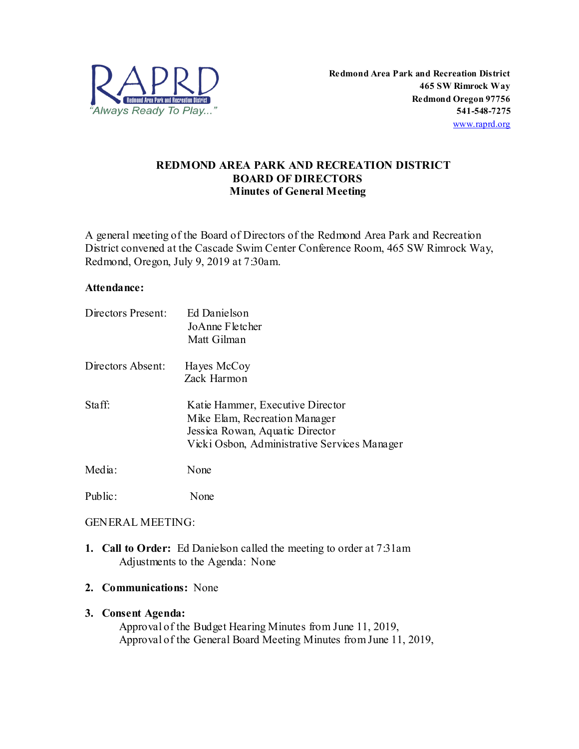

# **REDMOND AREA PARK AND RECREATION DISTRICT BOARD OF DIRECTORS Minutes of General Meeting**

A general meeting of the Board of Directors of the Redmond Area Park and Recreation District convened at the Cascade Swim Center Conference Room, 465 SW Rimrock Way, Redmond, Oregon, July 9, 2019 at 7:30am.

#### **Attendance:**

| Directors Present: | Ed Danielson<br>JoAnne Fletcher<br>Matt Gilman                                                                                                       |
|--------------------|------------------------------------------------------------------------------------------------------------------------------------------------------|
| Directors Absent:  | Hayes McCoy<br>Zack Harmon                                                                                                                           |
| Staff:             | Katie Hammer, Executive Director<br>Mike Elam, Recreation Manager<br>Jessica Rowan, Aquatic Director<br>Vicki Osbon, Administrative Services Manager |
| Media:             | None                                                                                                                                                 |
| Public:            | None                                                                                                                                                 |

## GENERAL MEETING:

- **1. Call to Order:** Ed Danielson called the meeting to order at 7:31am Adjustments to the Agenda: None
- **2. Communications:** None

## **3. Consent Agenda:**

Approval of the Budget Hearing Minutes from June 11, 2019, Approval of the General Board Meeting Minutes from June 11, 2019,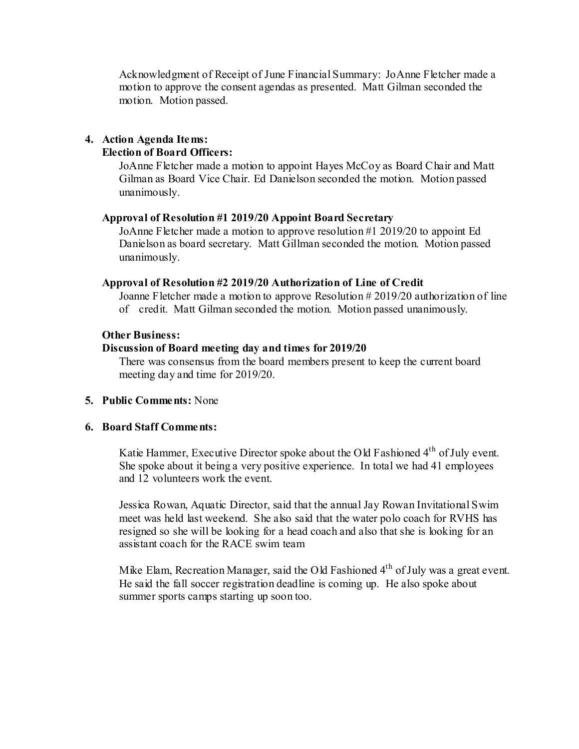Acknowledgment of Receipt of June Financial Summary: JoAnne Fletcher made a motion to approve the consent agendas as presented. Matt Gilman seconded the motion. Motion passed.

# **4. Action Agenda Items:**

### **Election of Board Officers:**

JoAnne Fletcher made a motion to appoint Hayes McCoy as Board Chair and Matt Gilman as Board Vice Chair. Ed Danielson seconded the motion. Motion passed unanimously.

#### **Approval of Resolution #1 2019/20 Appoint Board Secretary**

JoAnne Fletcher made a motion to approve resolution #1 2019/20 to appoint Ed Danielson as board secretary. Matt Gillman seconded the motion. Motion passed unanimously.

#### **Approval of Resolution #2 2019/20 Authorization of Line of Credit**

Joanne Fletcher made a motion to approve Resolution # 2019/20 authorization of line of credit. Matt Gilman seconded the motion. Motion passed unanimously.

#### **Other Business:**

## **Discussion of Board meeting day and times for 2019/20**

There was consensus from the board members present to keep the current board meeting day and time for 2019/20.

## **5. Public Comments:** None

#### **6. Board Staff Comments:**

Katie Hammer, Executive Director spoke about the Old Fashioned  $4<sup>th</sup>$  of July event. She spoke about it being a very positive experience. In total we had 41 employees and 12 volunteers work the event.

Jessica Rowan, Aquatic Director, said that the annual Jay Rowan Invitational Swim meet was held last weekend. She also said that the water polo coach for RVHS has resigned so she will be looking for a head coach and also that she is looking for an assistant coach for the RACE swim team

Mike Elam, Recreation Manager, said the Old Fashioned 4<sup>th</sup> of July was a great event. He said the fall soccer registration deadline is coming up. He also spoke about summer sports camps starting up soon too.